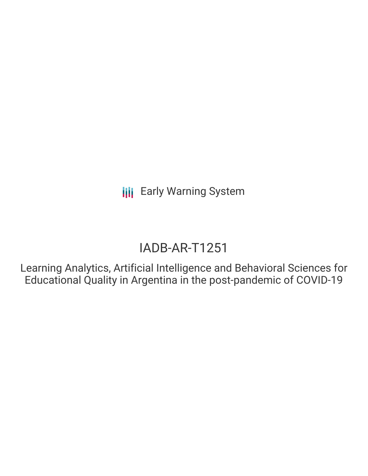# IADB-AR-T1251

Learning Analytics, Artificial Intelligence and Behavioral Sciences for Educational Quality in Argentina in the post-pandemic of COVID-19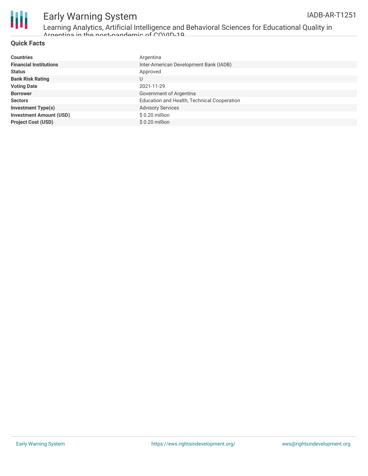

Learning Analytics, Artificial Intelligence and Behavioral Sciences for Educational Quality in Argentina in the post-pandemic of COVID-19

### **Quick Facts**

| <b>Countries</b>               | Argentina                                   |
|--------------------------------|---------------------------------------------|
| <b>Financial Institutions</b>  | Inter-American Development Bank (IADB)      |
| <b>Status</b>                  | Approved                                    |
| <b>Bank Risk Rating</b>        | U                                           |
| <b>Voting Date</b>             | 2021-11-29                                  |
| <b>Borrower</b>                | Government of Argentina                     |
| <b>Sectors</b>                 | Education and Health, Technical Cooperation |
| <b>Investment Type(s)</b>      | <b>Advisory Services</b>                    |
| <b>Investment Amount (USD)</b> | $$0.20$ million                             |
| <b>Project Cost (USD)</b>      | \$0.20 million                              |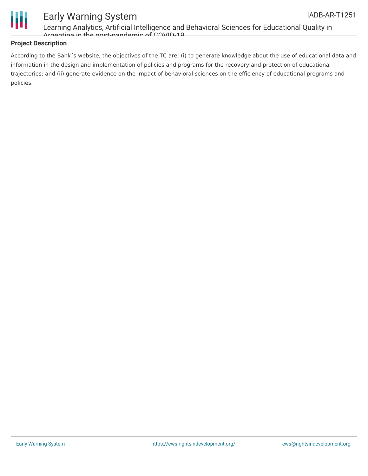



Learning Analytics, Artificial Intelligence and Behavioral Sciences for Educational Quality in Argentina in the post-pandemic of COVID-19

### **Project Description**

According to the Bank´s website, the objectives of the TC are: (i) to generate knowledge about the use of educational data and information in the design and implementation of policies and programs for the recovery and protection of educational trajectories; and (ii) generate evidence on the impact of behavioral sciences on the efficiency of educational programs and policies.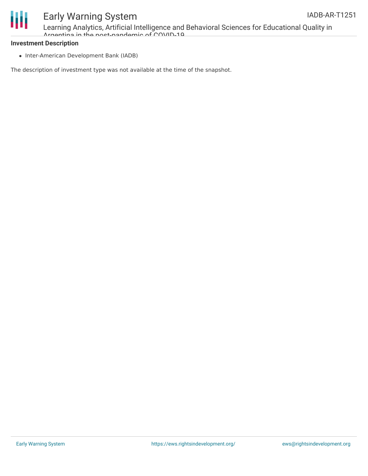

Learning Analytics, Artificial Intelligence and Behavioral Sciences for Educational Quality in Argentina in the post-pandemic of COVID-19

#### **Investment Description**

• Inter-American Development Bank (IADB)

The description of investment type was not available at the time of the snapshot.